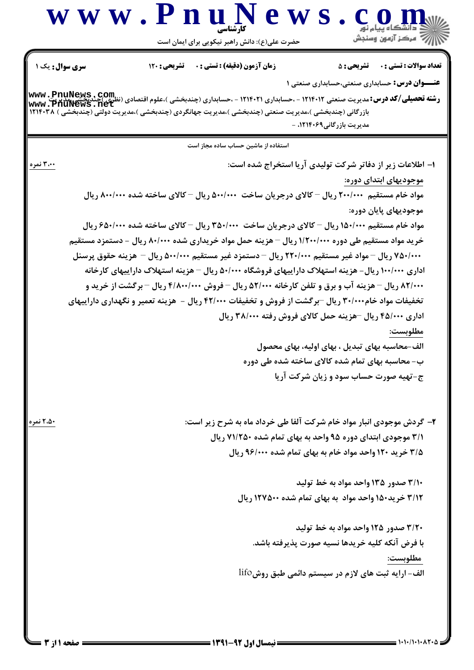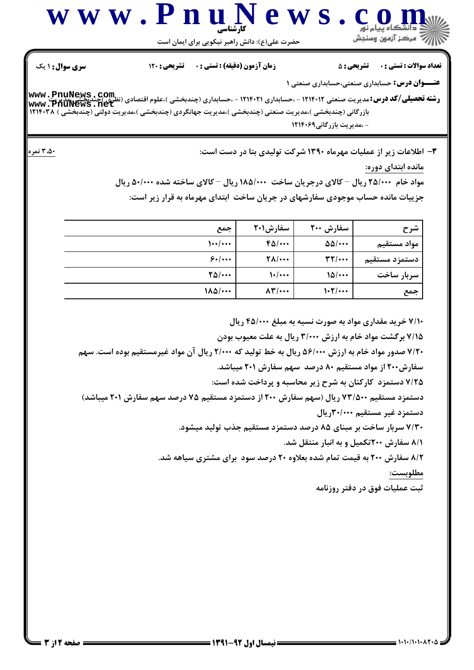

حضرت علي(ع): دانش راهبر نيكويي براي ايمان است

**عنـــوان درس:** حسابداری صنعتی،حسابداری صنعتی ۱

تعداد سوالات : تستي تشريحي زمان آزمون (دقيقه) : تستي تشريحي سري سوال ' & &\*(: (: ) (: : :

ر**شته تحصیلی/کد درس:**مدیریت صنعتی ۱۲۱۴۰۱۲ - ،حسابداری ۱۲۱۴۰۲۱ - ،حسابداری (چندبخشی )،علوم اقتصادی (نظری)چندیخشی:مدیر<br>ر**شته تحصیلی/کد درس:**مدیریت صنعتی ۱۲۱۴۰۱۲ - ،حسابداری ۱۲۱۴۰۲۱ - ،حسابداری (چندبخشی )،علوم اقتصادی (نظری) بازرگانی (چندبخشی )،مدیریت صنعتی (چندبخشی )،مدیریت جهانگردی (چندبخشی )،مدیریت دولتی (چندبخشی ) ۱۲۱۴۰۳۸ - ،مدیریت بازرگانی ۱۲۱۴۰۶۹ **[www.PnuNews.net](http://pnunews.net)**

:

 #:D 
EA &<?( @+8+ - 6 6 GH @ <,)( -3

مانده ابتدای دوره:

**مواد خام ۲۵/۰۰۰ ریال – کالای درجریان ساخت ۱۸۵/۰۰۰ ریال – کالای ساخته شده ۵۰/۰۰۰ ریال** جزییات مانده حساب موجودی سفارشهای در جریان ساخت |بتدای مهرماه به قرار زیر است:

| شرح           | سفارش ۲۰۰             | سفارش10۰۱                   | جمع                     |
|---------------|-----------------------|-----------------------------|-------------------------|
| مواد مستقيم   | $\Delta\Delta/\cdots$ | $F\Delta/\cdots$            | $\frac{1}{1}$           |
| دستمزد مستقيم | $\mathbf{r}$          | $\Upsilon \Lambda / \cdots$ | 8.1                     |
| سربار ساخت    | $10$                  | $\left.\right\}$            | $\frac{8}{10}$          |
| جمع           | 1.7/                  | $\Lambda \Upsilon / \cdots$ | $1\lambda\Delta/\cdots$ |

۷/۱۰ خرید مقداری مواد به صورت نسیه به مبلغ ۴۵/۰۰۰ ریال ۷/۱۵ برگشت مواد خام به ارزش ۳/۰۰۰ ریال به علت معیوب بودن ۷/۲۰ صدور مواد خام به ارزش ۵۶/۰۰۰ ریال به خط تولید که ۲/۰۰۰ ریال آن مواد غیرمستقیم بوده است. سهم سفارش۲۰۰ از مواد مستقیم ۸۰ درصد ًسهم سفارش ۲۰۱ میباشد. ۷/۲۵ دستمزد کارکنان به شرح زیر محاسبه و پرداخت شده است: دستمزد مستقیم ۷۳/۵۰۰ ریال (سهم سفارش ۲۰۰ از دستمزد مستقیم ۷۵ درصد سهم سفارش ۲۰۱ میباشد) دستمزد غیر مستقیم ۳۰/۰۰۰ریال ۷/۳۰ سربار ساخت بر مبنای ۸۵ درصد دستمزد مستقیم جذب تولید میشود. ۸/۱ سفارش ۲۰۰تکمیل و به انبار منتقل شد. 8/۲ سفارش ۲۰۰ به قیمت تمام شده بعلاوه ۲۰ درصد سود برای مشتری سیاهه شد. مطلوبست:

ثبت عملیات فوق در دفتر روزنامه